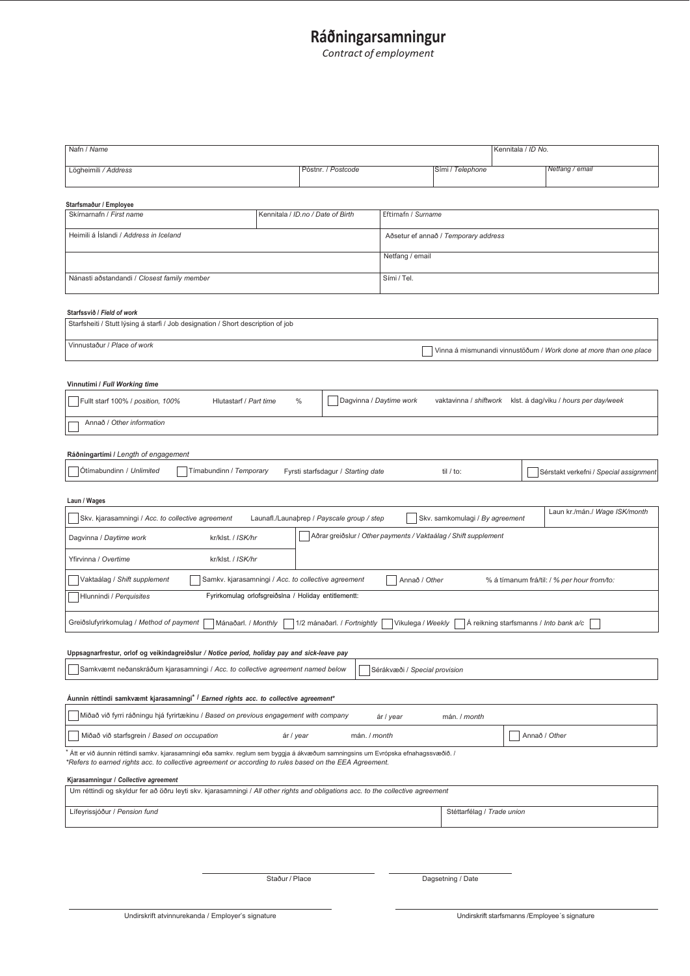# **Ráðningarsamningur**

*Contract of employment*

| Nafn / Name                                                                                                                                                                |                                    |                                      |                  | Kennitala / <i>ID No.</i> |                                        |
|----------------------------------------------------------------------------------------------------------------------------------------------------------------------------|------------------------------------|--------------------------------------|------------------|---------------------------|----------------------------------------|
|                                                                                                                                                                            |                                    |                                      |                  |                           |                                        |
| Lögheimili / Address                                                                                                                                                       | Póstnr. / Postcode                 |                                      | Sími / Telephone |                           | Netfang / email                        |
|                                                                                                                                                                            |                                    |                                      |                  |                           |                                        |
| Starfsmaður / Employee<br>Skírnarnafn / First name                                                                                                                         | Kennitala / ID.no / Date of Birth  | Eftirnafn / Surname                  |                  |                           |                                        |
| Heimili á Íslandi / Address in Iceland                                                                                                                                     |                                    | Aðsetur ef annað / Temporary address |                  |                           |                                        |
|                                                                                                                                                                            |                                    |                                      |                  |                           |                                        |
|                                                                                                                                                                            |                                    | Netfang / email                      |                  |                           |                                        |
| Nánasti aðstandandi / Closest family member                                                                                                                                |                                    | Sími / Tel.                          |                  |                           |                                        |
|                                                                                                                                                                            |                                    |                                      |                  |                           |                                        |
| Starfssvið / Field of work                                                                                                                                                 |                                    |                                      |                  |                           |                                        |
| Starfsheiti / Stutt Iýsing á starfi / Job designation / Short description of job                                                                                           |                                    |                                      |                  |                           |                                        |
| Vinnustaður / Place of work<br>Vinna á mismunandi vinnustöðum / Work done at more than one place                                                                           |                                    |                                      |                  |                           |                                        |
|                                                                                                                                                                            |                                    |                                      |                  |                           |                                        |
| Vinnutími / Full Working time                                                                                                                                              |                                    |                                      |                  |                           |                                        |
| Dagvinna / Daytime work<br>Fullt starf 100% / position, 100%<br>Hlutastarf / Part time<br>$\frac{0}{0}$<br>vaktavinna / shiftwork<br>klst. á dag/viku / hours per day/week |                                    |                                      |                  |                           |                                        |
| Annað / Other information                                                                                                                                                  |                                    |                                      |                  |                           |                                        |
|                                                                                                                                                                            |                                    |                                      |                  |                           |                                        |
| Ráðningartími / Length of engagement                                                                                                                                       |                                    |                                      |                  |                           |                                        |
| Ótímabundinn / Unlimited<br>Tímabundinn / Temporary                                                                                                                        | Fyrsti starfsdagur / Starting date |                                      | til / to:        |                           | Sérstakt verkefni / Special assignment |
|                                                                                                                                                                            |                                    |                                      |                  |                           |                                        |
| Laun / Wages                                                                                                                                                               |                                    |                                      |                  |                           |                                        |
| Laun kr./mán./ Wage ISK/month<br>Skv. kjarasamningi / Acc. to collective agreement<br>Launafl./Launaþrep / Payscale group / step<br>Skv. samkomulagi / By agreement        |                                    |                                      |                  |                           |                                        |
| Aðrar greiðslur / Other payments / Vaktaálag / Shift supplement<br>Dagvinna / Daytime work<br>kr/klst. / ISK/hr                                                            |                                    |                                      |                  |                           |                                        |
| Yfirvinna / Overtime<br>kr/klst. / ISK/hr                                                                                                                                  |                                    |                                      |                  |                           |                                        |
|                                                                                                                                                                            |                                    |                                      |                  |                           |                                        |
| Vaktaálag / Shift supplement<br>Samkv. kjarasamningi / Acc. to collective agreement<br>Annað / Other<br>% á tímanum frá/til: / % per hour from/to:                         |                                    |                                      |                  |                           |                                        |
| Hlunnindi / Perquisites<br>Fyrirkomulag orlofsgreiðslna / Holiday entitlementt:                                                                                            |                                    |                                      |                  |                           |                                        |
| Greiðslufyrirkomulag / Method of payment<br>Mánaðarl. / Monthly<br>1/2 mánaðarl. / Fortnightly<br>Vikulega / Weekly<br>Á reikning starfsmanns / Into bank a/c              |                                    |                                      |                  |                           |                                        |
|                                                                                                                                                                            |                                    |                                      |                  |                           |                                        |
| Uppsagnarfrestur, orlof og veikindagreiðslur / Notice period, holiday pay and sick-leave pay                                                                               |                                    |                                      |                  |                           |                                        |
| Samkvæmt neðanskráðum kjarasamningi / Acc. to collective agreement named below<br>Sérákvæði / Special provision                                                            |                                    |                                      |                  |                           |                                        |
|                                                                                                                                                                            |                                    |                                      |                  |                           |                                        |
| Aunnin réttindi samkvæmt kjarasamningi <sup>* /</sup> Earned rights acc. to collective agreement*                                                                          |                                    |                                      |                  |                           |                                        |
| Miðað við fyrri ráðningu hjá fyrirtækinu / Based on previous engagement with company<br>ár / year<br>mán. / month                                                          |                                    |                                      |                  |                           |                                        |
| Annað / Other<br>Miðað við starfsgrein / Based on occupation<br>ár / year<br>mán. / month                                                                                  |                                    |                                      |                  |                           |                                        |
| ′ Átt er við áunnin réttindi samkv. kjarasamningi eða samkv. reglum sem byggja á ákvæðum samningsins um Evrópska efnahagssvæðið. /                                         |                                    |                                      |                  |                           |                                        |
| *Refers to earned rights acc. to collective agreement or according to rules based on the EEA Agreement.                                                                    |                                    |                                      |                  |                           |                                        |
| Kjarasamningur / Collective agreement<br>Um réttindi og skyldur fer að öðru leyti skv. kjarasamningi / All other rights and obligations acc. to the collective agreement   |                                    |                                      |                  |                           |                                        |
|                                                                                                                                                                            |                                    |                                      |                  |                           |                                        |
| Lífeyrissjóður / Pension fund                                                                                                                                              |                                    | Stéttarfélag / Trade union           |                  |                           |                                        |
|                                                                                                                                                                            |                                    |                                      |                  |                           |                                        |
|                                                                                                                                                                            |                                    |                                      |                  |                           |                                        |
|                                                                                                                                                                            |                                    |                                      |                  |                           |                                        |

Staður / Place Dagsetning / Date